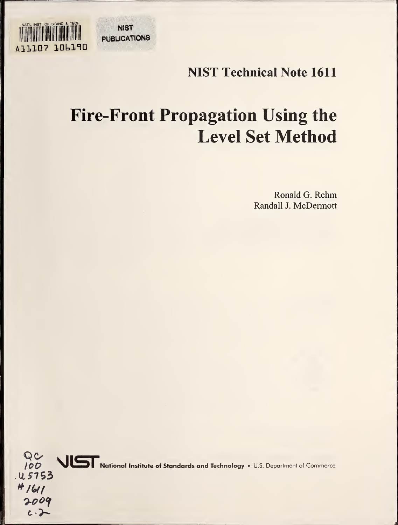NATL INST. OF STAND & TECH **1.06190** PUBLICATIONS

**NIST** 

## NIST Technical Note 1611

# Fire-Front Propagation Using the Level Set Method

Ronald G. Rehm Randall J. McDermott

QU<br>100 VIST National Institute of Standards and Technology • U.S. Department of Commerce .115-753 $#1611$ 2009  $c.\rightarrow$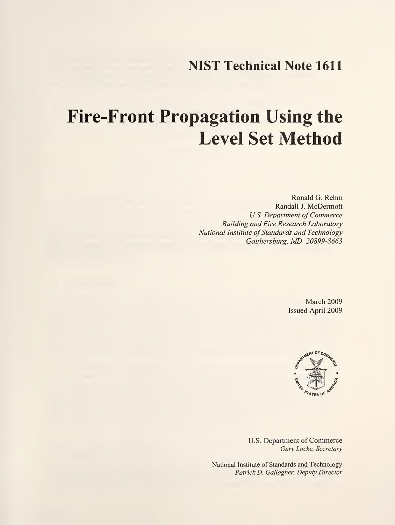### NIST Technical Note 1611

# Fire-Front Propagation Using the Level Set Method

Ronald G. Rehm Randall J. McDermott U.S. Department of Commerce Building and Fire Research Laboratory National Institute of Standards and Technology Gaithersburg, MD 20899-8663

> March 2009 Issued April 2009



U.S. Department of Commerce Gary Locke, Secretary

National Institute of Standards and Technology Patrick D. Gallagher, Deputy Director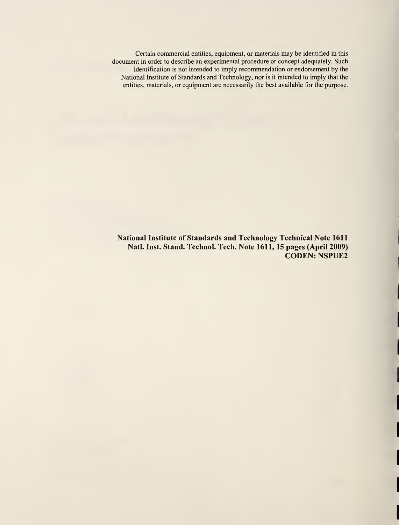Certain commercial entities, equipment, or materials may be identified in this document in order to describe an experimental procedure or concept adequately. Such identification is not intended to imply recommendation or endorsement by the National Institute of Standards and Technology, nor is it intended to imply that the entities, materials, or equipment are necessarily the best available for the purpose.

National Institute of Standards and Technology Technical Note 1611 Natl. Inst. Stand. Technol. Tech. Note 1611, 15 pages (April 2009) CODEN: NSPUE2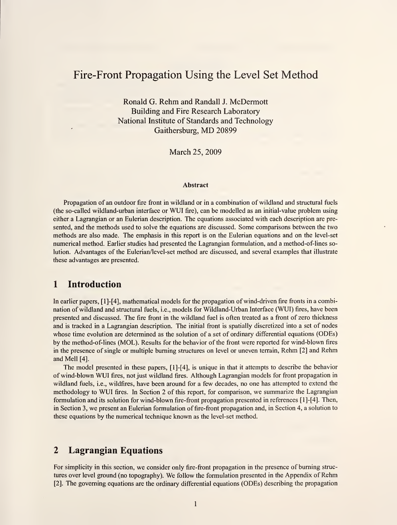### Fire-Front Propagation Using the Level Set Method

Ronald G. Rehm and Randall J. McDermott Building and Fire Research Laboratory National Institute of Standards and Technology Gaithersburg, MD <sup>20899</sup>

March 25, 2009

#### Abstract

Propagation of an outdoor fire front in wildland or in a combination of wildland and structural fuels (the so-called wildland-urban interface or WUI fire), can be modelled as an initial-value problem using either a Lagrangian or an Eulerian description. The equations associated with each description are presented, and the methods used to solve the equations are discussed. Some comparisons between the two methods are also made. The emphasis in this report is on the Eulerian equations and on the level-set numerical method. Earlier studies had presented the Lagrangian formulation, and a method-of-lines solution. Advantages of the Eulerian/level-set method are discussed, and several examples that illustrate these advantages are presented.

#### 1 Introduction

In earlier papers, [l]-[4], mathematical models for the propagation of wind-driven fire fronts in a combination of wildland and structural fuels, i.e., models for Wildland-Urban Interface (WUI) fires, have been presented and discussed. The fire front in the wildland fuel is often treated as a front of zero thickness and is tracked in a Lagrangian description. The initial front is spatially discretized into a set of nodes whose time evolution are determined as the solution of a set of ordinary differential equations (ODEs) by the method-of-lines (MOL). Results for the behavior of the front were reported for wind-blown fires in the presence of single or multiple burning structures on level or uneven terrain, Rehm [2] and Rehm and Mell [4].

The model presented in these papers, [l]-[4], is unique in that it attempts to describe the behavior of wind-blown WUI fires, not just wildland fires. Although Lagrangian models for front propagation in wildland fuels, i.e., wildfires, have been around for a few decades, no one has attempted to extend the methodology to WUI fires. In Section <sup>2</sup> of this report, for comparison, we summarize the Lagrangian formulation and its solution for wind-blown fire-front propagation presented in references [l]-[4]. Then, in Section 3, we present an Eulerian formulation of fire- front propagation and, in Section 4, a solution to these equations by the numerical technique known as the level-set method.

#### 2 Lagrangian Equations

For simplicity in this section, we consider only fire-front propagation in the presence of burning struc tures over level ground (no topography). We follow the formulation presented in the Appendix of Rehm [2]. The governing equations are the ordinary differential equations (ODEs) describing the propagation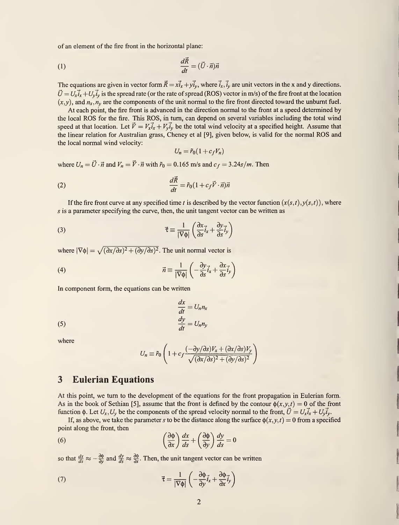of an element of the fire front in the horizontal plane:

(1) 
$$
\frac{d\vec{R}}{dt} = (\vec{U} \cdot \vec{n})\vec{n}
$$

The equations are given in vector form  $\vec{R} = x\vec{i}_x + y\vec{i}_y$ , where  $\vec{i}_x$ ,  $\vec{i}_y$  are unit vectors in the x and y directions.  $\vec{U} = U_x \vec{i}_x + U_y \vec{i}_y$  is the spread rate (or the rate of spread (ROS) vector in m/s) of the fire front at the location  $(x, y)$ , and  $n_x, n_y$  are the components of the unit normal to the fire front directed toward the unburnt fuel.

At each point, the fire front is advanced in the direction normal to the front at a speed determined by the local ROS for the fire. This ROS, in turn, can depend on several variables including the total wind speed at that location. Let  $\vec{V} = V_x \vec{i}_x + V_y \vec{i}_y$  be the total wind velocity at a specified height. Assume that the linear relation for Australian grass, Cheney et al [9], given below, is valid for the normal ROS and the local normal wind velocity:

$$
U_n = \tilde{r}_0(1 + c_f V_n)
$$

where  $U_n = \vec{U} \cdot \vec{n}$  and  $V_n = \vec{V} \cdot \vec{n}$  with  $\tilde{r}_0 = 0.165$  m/s and  $c_f = 3.24s/m$ . Then

(2) 
$$
\frac{d\vec{R}}{dt} = \tilde{r}_0 (1 + c_f \vec{V} \cdot \vec{n}) \vec{n}
$$

If the fire front curve at any specified time t is described by the vector function  $(x(s,t),y(s,t))$ , where s is a parameter specifying the curve, then, the unit tangent vector can be written as

(3) 
$$
\vec{\tau} \equiv \frac{1}{|\nabla \phi|} \left( \frac{\partial x}{\partial s} \vec{i}_x + \frac{\partial y}{\partial s} \vec{i}_y \right)
$$

where  $|\nabla \phi| = \sqrt{(\partial x/\partial s)^2 + (\partial y/\partial s)^2}$ . The unit normal vector is

(4) 
$$
\vec{n} \equiv \frac{1}{|\nabla \phi|} \left( -\frac{\partial y}{\partial s} \vec{i}_x + \frac{\partial x}{\partial s} \vec{i}_y \right)
$$

In component form, the equations can be written

(5) 
$$
\frac{dx}{dt} = U_n n_x
$$

$$
\frac{dy}{dt} = U_n n_y
$$

where

$$
U_n \equiv \tilde{r}_0 \left( 1 + c_f \frac{(-\partial y/\partial s) V_x + (\partial x/\partial s) V_y}{\sqrt{(\partial x/\partial s)^2 + (\partial y/\partial s)^2}} \right)
$$

#### 3 Eulerian Equations

At this point, we turn to the development of the equations for the front propagation in Eulerian form. As in the book of Sethian [5], assume that the front is defined by the contour  $\phi(x,y,t) = 0$  of the front function  $\phi$ . Let  $U_x, U_y$  be the components of the spread velocity normal to the front,  $\vec{U} = U_x \vec{i}_x + U_y \vec{i}_y$ .

If, as above, we take the parameter s to be the distance along the surface  $\phi(x, y, t) = 0$  from a specified point along the front, then

(6) 
$$
\left(\frac{\partial \phi}{\partial x}\right) \frac{dx}{ds} + \left(\frac{\partial \phi}{\partial y}\right) \frac{dy}{ds} = 0
$$

so that  $\frac{dx}{ds} \approx -\frac{\partial \phi}{\partial y}$  and  $\frac{dy}{ds} \approx \frac{\partial \phi}{\partial x}$ . Then, the unit tangent vector can be written

(7) 
$$
\vec{\tau} = \frac{1}{|\nabla \phi|} \left( -\frac{\partial \phi}{\partial y} \vec{i}_x + \frac{\partial \phi}{\partial x} \vec{i}_y \right)
$$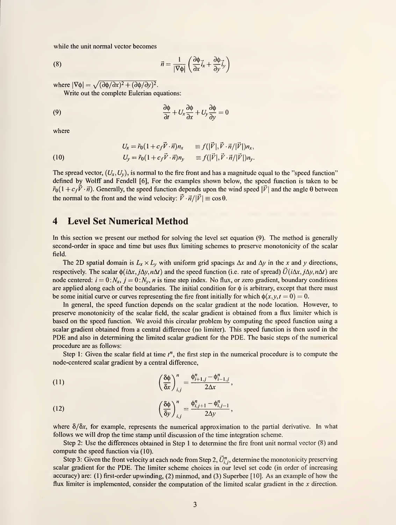while the unit normal vector becomes

(8) 
$$
\vec{n} = \frac{1}{|\nabla \phi|} \left( \frac{\partial \phi}{\partial x} \vec{i}_x + \frac{\partial \phi}{\partial y} \vec{i}_y \right)
$$

where  $|\nabla \phi| = \sqrt{(\partial \phi / \partial x)^2 + (\partial \phi / \partial y)^2}$ .

Write out the complete Eulerian equations:

(9) 
$$
\frac{\partial \phi}{\partial t} + U_x \frac{\partial \phi}{\partial x} + U_y \frac{\partial \phi}{\partial y} = 0
$$

where

(10) 
$$
U_x = \tilde{r}_0 (1 + c_f \vec{V} \cdot \vec{n}) n_x \equiv f(|\vec{V}|, \vec{V} \cdot \vec{n}/|\vec{V}|) n_x,
$$

$$
U_y = \tilde{r}_0 (1 + c_f \vec{V} \cdot \vec{n}) n_y \equiv f(|\vec{V}|, \vec{V} \cdot \vec{n}/|\vec{V}|) n_y.
$$

The spread vector,  $(U_x, U_y)$ , is normal to the fire front and has a magnitude equal to the "speed function" defined by Wolff and Fendell [6], For the examples shown below, the speed function is taken to be  $\tilde{r}_0(1+c_f\vec{V}\cdot\vec{n})$ . Generally, the speed function depends upon the wind speed  $|\vec{V}|$  and the angle  $\theta$  between the normal to the front and the wind velocity:  $\vec{V} \cdot \vec{n}/|\vec{V}| \equiv \cos\theta$ .

#### 4 Level Set Numerical Method

In this section we present our method for solving the level set equation (9). The method is generally second-order in space and time but uses flux limiting schemes to preserve monotonicity of the scalar field.

The 2D spatial domain is  $L_x \times L_y$  with uniform grid spacings  $\Delta x$  and  $\Delta y$  in the x and y directions, respectively. The scalar  $\phi(i\Delta x, j\Delta y, n\Delta t)$  and the speed function (i.e. rate of spread)  $\vec{U}(i\Delta x, j\Delta y, n\Delta t)$  are node centered:  $i = 0:N_x$ ,  $j = 0:N_y$ , *n* is time step index. No flux, or zero gradient, boundary conditions are applied along each of the boundaries. The initial condition for  $\phi$  is arbitrary, except that there must be some initial curve or curves representing the fire front initially for which  $\phi(x, y, t = 0) = 0$ .

In general, the speed function depends on the scalar gradient at the node location. However, to preserve monotonicity of the scalar field, the scalar gradient is obtained from a flux limiter which is based on the speed function. We avoid this circular problem by computing the speed function using <sup>a</sup> scalar gradient obtained from a central difference (no limiter). This speed function is then used in the PDE and also in determining the limited scalar gradient for the PDE. The basic steps of the numerical procedure are as follows:

Step 1: Given the scalar field at time  $t^n$ , the first step in the numerical procedure is to compute the node-centered scalar gradient by a central difference,

(11) 
$$
\left(\frac{\delta\phi}{\delta x}\right)_{i,j}^n = \frac{\phi_{i+1,j}^n - \phi_{i-1,j}^n}{2\Delta x},
$$

(12) 
$$
\left(\frac{\delta\phi}{\delta y}\right)_{i,j}^n = \frac{\phi_{i,j+1}^n - \phi_{i,j-1}^n}{2\Delta y},
$$

where  $\delta/\delta x$ , for example, represents the numerical approximation to the partial derivative. In what follows we will drop the time stamp until discussion of the time integration scheme.

Step 2: Use the differences obtained in Step <sup>1</sup> to determine the fire front unit normal vector (8) and compute the speed function via (10).

Step 3: Given the front velocity at each node from Step 2,  $\vec{U}_{i,j}^n$ , determine the monotonicity preserving scalar gradient for the PDE. The limiter scheme choices in our level set code (in order of increasing accuracy) are: (1) first-order upwinding, (2) minmod, and (3) Superbee [10]. As an example of how the flux limiter is implemented, consider the computation of the limited scalar gradient in the x direction.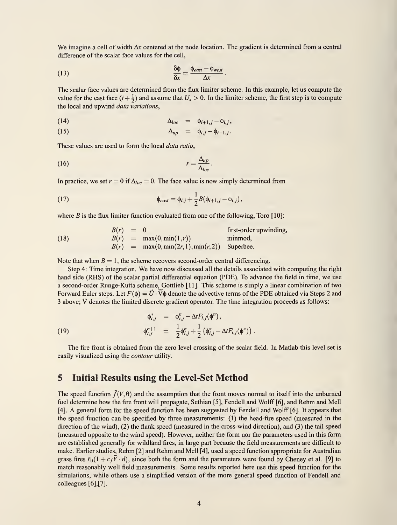We imagine a cell of width  $\Delta x$  centered at the node location. The gradient is determined from a central difference of the scalar face values for the cell,

(13) 
$$
\frac{\delta \phi}{\delta x} = \frac{\phi_{east} - \phi_{west}}{\Delta x}.
$$

The scalar face values are determined from the flux limiter scheme. In this example, let us compute the value for the east face  $(i + \frac{1}{2})$  and assume that  $U_x > 0$ . In the limiter scheme, the first step is to compute the local and upwind data variations,

$$
\Delta_{loc} = \phi_{i+1,j} - \phi_{i,j},
$$

(15) 
$$
\Delta_{up} = \phi_{i,j} - \phi_{i-1,j}.
$$

These values are used to form the local data ratio,

$$
r = \frac{\Delta_{up}}{\Delta_{loc}}.
$$

In practice, we set  $r = 0$  if  $\Delta_{loc} = 0$ . The face value is now simply determined from

(17) 
$$
\phi_{east} = \phi_{i,j} + \frac{1}{2} B(\phi_{i+1,j} - \phi_{i,j}),
$$

where  $B$  is the flux limiter function evaluated from one of the following, Toro [10]:

(18) 
$$
B(r) = 0
$$
 first-order upwinding,  
\n
$$
B(r) = \max(0, \min(1, r))
$$
minmod,  
\n
$$
B(r) = \max(0, \min(2r, 1), \min(r, 2))
$$
Superbee.

Note that when  $B = 1$ , the scheme recovers second-order central differencing.

Step 4: Time integration. We have now discussed all the details associated with computing the right hand side (RHS) of the scalar partial differential equation (PDE). To advance the field in time, we use a second-order Runge-Kutta scheme, Gottlieb [11]. This scheme is simply a linear combination of two Forward Euler steps. Let  $F(\phi) = \vec{U} \cdot \nabla \phi$  denote the advective terms of the PDE obtained via Steps 2 and 3 above;  $\overline{V}$  denotes the limited discrete gradient operator. The time integration proceeds as follows:

(19) 
$$
\begin{array}{rcl}\n\phi_{i,j}^* & = & \phi_{i,j}^n - \Delta t F_{i,j}(\phi^n), \\
\phi_{i,j}^{n+1} & = & \frac{1}{2} \phi_{i,j}^n + \frac{1}{2} \left( \phi_{i,j}^* - \Delta t F_{i,j}(\phi^*) \right).\n\end{array}
$$

The fire front is obtained from the zero level crossing of the scalar field. In Matlab this level set is easily visualized using the contour utility.

#### 5 Initial Results using the Level-Set Method

The speed function  $\tilde{f}(V, \theta)$  and the assumption that the front moves normal to itself into the unburned fuel determine how the fire front will propagate, Sethian [5], Fendell and Wolff [6], and Rehm and Mell [4]. A general form for the speed function has been suggested by Fendell and Wolff [6]. It appears that the speed function can be specified by three measurements: (1) the head-fire speed (measured in the direction of the wind), (2) the flank speed (measured in the cross-wind direction), and (3) the tail speed (measured opposite to the wind speed). However, neither the form nor the parameters used in this form are established generally for wildland fires, in large part because the field measurements are difficult to make. Earlier studies, Rehm [2] and Rehm and Mell [4], used <sup>a</sup> speed function appropriate for Australian grass fires  $\tilde{r}_0(1 + c_f \vec{V} \cdot \vec{n})$ , since both the form and the parameters were found by Cheney et al. [9] to match reasonably well field measurements. Some results reported here use this speed function for the simulations, while others use a simplified version of the more general speed function of Fendell and colleagues  $[6]$ ,  $[7]$ .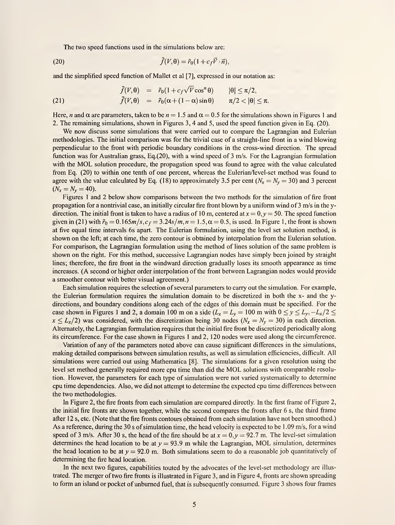The two speed functions used in the simulations below are:

(20) 
$$
\tilde{f}(V,\theta) = \tilde{r}_0(1 + c_f \vec{V} \cdot \vec{n}),
$$

and the simplified speed function of Mallet et al [7], expressed in our notation as:

(21) 
$$
\tilde{f}(V,\theta) = \tilde{r}_0(1 + c_f\sqrt{V}\cos^n\theta) \qquad |\theta| \le \pi/2, \n\tilde{f}(V,\theta) = \tilde{r}_0(\alpha + (1-\alpha)\sin\theta) \qquad \pi/2 < |\theta| \le \pi.
$$

Here, n and  $\alpha$  are parameters, taken to be  $n = 1.5$  and  $\alpha = 0.5$  for the simulations shown in Figures 1 and 2. The remaining simulations, shown in Figures 3, 4 and 5, used the speed function given in Eq. (20).

We now discuss some simulations that were carried out to compare the Lagrangian and Eulerian methodologies. The initial comparison was for the trivial case of a straight-line front in a wind blowing perpendicular to the front with periodic boundary conditions in the cross-wind direction. The spread function was for Australian grass, Eq.(20), with a wind speed of 3 m/s. For the Lagrangian formulation with the MOL solution procedure, the propagation speed was found to agree with the value calculated from Eq. (20) to within one tenth of one percent, whereas the Eulerian/level-set method was found to agree with the value calculated by Eq. (18) to approximately 3.5 per cent ( $N_x = N_y = 30$ ) and 3 percent  $(N_x = N_y = 40)$ .

Figures <sup>1</sup>and 2 below show comparisons between the two methods for the simulation of fire front propagation for a nontrivial case, an initially circular fire front blown by a uniform wind of  $3 \text{ m/s}$  in the ydirection. The initial front is taken to have a radius of 10 m, centered at  $x = 0, y = 50$ . The speed function given in (21) with  $\tilde{r}_0 = 0.165m/s$ ,  $c_f = 3.24s/m$ ,  $n = 1.5$ ,  $\alpha = 0.5$ , is used. In Figure 1, the front is shown at five equal time intervals 6s apart. The Eulerian formulation, using the level set solution method, is shown on the left; at each time, the zero contour is obtained by interpolation from the Eulerian solution. For comparison, the Lagrangian formulation using the method of lines solution of the same problem is shown on the right. For this method, successive Lagrangian nodes have simply been joined by straight lines; therefore, the fire front in the windward direction gradually loses its smooth appearance as time increases. (A second or higher order interpolation of the front between Lagrangian nodes would provide a smoother contour with better visual agreement.)

Each simulation requires the selection of several parameters to carry out the simulation. For example, the Eulerian formulation requires the simulation domain to be discretized in both the x- and the ydirections, and boundary conditions along each of the edges of this domain must be specified. For the case shown in Figures 1 and 2, a domain 100 m on a side  $(L_x = L_y = 100 \text{ m with } 0 \le y \le L_y, -L_x/2 \le$  $x \leq L_x/2$ ) was considered, with the discretization being 30 nodes ( $N_x = N_y = 30$ ) in each direction. Alternately, the Lagrangian formulation requires that the initial fire front be discretized periodically along its circumference. For the case shown in Figures <sup>1</sup> and 2, 120 nodes were used along the circumference.

Variation of any of the parameters noted above can cause significant differences in the simulations, making detailed comparisons between simulation results, as well as simulation efficiencies, difficult. All simulations were carried out using Mathematica [8]. The simulations for a given resolution using the level set method generally required more cpu time than did the MOL solutions with comparable resolution. However, the parameters for each type of simulation were not varied systematically to determine cpu time dependencies. Also, we did not attempt to determine the expected cpu time differences between the two methodologies.

In Figure 2, the fire fronts from each simulation are compared directly. In the first frame of Figure 2, the initial fire fronts are shown together, while the second compares the fronts after 6 s, the third frame after 12 s, etc. (Note that the fire fronts contours obtained from each simulation have not been smoothed.) As a reference, during the 30 <sup>s</sup> of simulation time, the head velocity is expected to be <sup>1</sup> .09 m/s, for a wind speed of 3 m/s. After 30 s, the head of the fire should be at  $x = 0, y = 92.7$  m. The level-set simulation determines the head location to be at  $y = 93.9$  m while the Lagrangian, MOL simulation, determines the head location to be at  $y = 92.0$  m. Both simulations seem to do a reasonable job quantitatively of determining the fire head location.

In the next two figures, capabilities touted by the advocates of the level-set methodology are illustrated. The merger of two fire fronts is illustrated in Figure 3, and in Figure 4, fronts are shown spreading to form an island or pocket of unburned fuel, that is subsequently consumed. Figure 3 shows four frames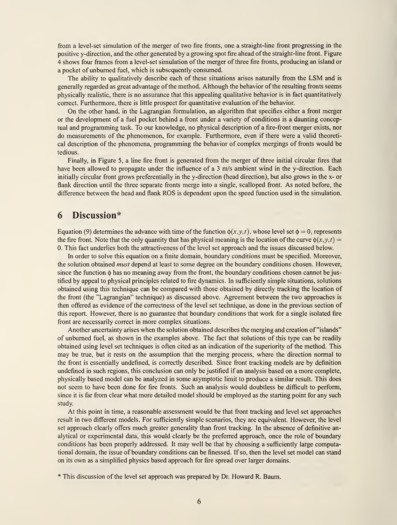from a level-set simulation of the merger of two fire fronts, one a straight-line front progressing in the positive y-direction, and the other generated by a growing spot fire ahead of the straight-line front. Figure 4 shows four frames from a level-set simulation of the merger of three fire fronts, producing an island or a pocket of unburned fuel, which is subsequently consumed.

The ability to qualitatively describe each of these situations arises naturally from the LSM and is generally regarded as great advantage of the method. Although the behavior of the resulting fronts seems physically realistic, there is no assurance that this appealing qualitative behavior is in fact quantitatively correct. Furthermore, there is little prospect for quantitative evaluation of the behavior.

On the other hand, in the Lagrangian formulation, an algorithm that specifies either <sup>a</sup> front merger or the development of a fuel pocket behind a front under a variety of conditions is a daunting conceptual and programming task. To our knowledge, no physical description of a fire-front merger exists, nor do measurements of the phenomenon, for example. Furthermore, even if there were a valid theoretical description of the phenomena, programming the behavior of complex mergings of fronts would be tedious.

Finally, in Figure 5, a line fire front is generated from the merger of three initial circular fires that have been allowed to propagate under the influence of a 3 m/s ambient wind in the y-direction. Each initially circular front grows preferentially in the y-direction (head direction), but also grows in the x- or flank direction until the three separate fronts merge into a single, scalloped front. As noted before, the difference between the head and flank ROS is dependent upon the speed function used in the simulation.

#### 6 Discussion\*

Equation (9) determines the advance with time of the function  $\phi(x, y, t)$ , whose level set  $\phi = 0$ , represents the fire front. Note that the only quantity that has physical meaning is the location of the curve  $\phi(x, y, t)$  = 0. This fact underlies both the attractiveness of the level set approach and the issues discussed below.

In order to solve this equation on a finite domain, boundary conditions must be specified. Moreover, the solution obtained *must* depend at least to some degree on the boundary conditions chosen. However, since the function  $\phi$  has no meaning away from the front, the boundary conditions chosen cannot be justified by appeal to physical principles related to fire dynamics. In sufficiently simple situations, solutions obtained using this technique can be compared with those obtained by directly tracking the location of the front (the "Lagrangian" technique) as discussed above. Agreement between the two approaches is then offered as evidence of the correctness of the level set technique, as done in the previous section of this report. However, there is no guarantee that boundary conditions that work for a single isolated fire front are necessarily correct in more complex situations.

Another uncertainty arises when the solution obtained describes the merging and creation of "islands" of unburned fuel, as shown in the examples above. The fact that solutions of this type can be readily obtained using level set techniques is often cited as an indication of the superiority of the method. This may be true, but it rests on the assumption that the merging process, where the direction normal to the front is essentially undefined, is correctly described. Since front tracking models are by definition undefined in such regions, this conclusion can only be justified if an analysis based on a more complete, physically based model can be analyzed in some asymptotic limit to produce a similar result. This does not seem to have been done for fire fronts. Such an analysis would doubtless be difficult to perform, since it is far from clear what more detailed model should be employed as the starting point for any such study.

At this point in time, a reasonable assessment would be that front tracking and level set approaches result in two different models. For sufficiently simple scenarios, they are equivalent. However, the level set approach clearly offers much greater generality than front tracking. In the absence of definitive analytical or experimental data, this would clearly be the preferred approach, once the role of boundary conditions has been properly addressed. It may well be that by choosing a sufficiently large computational domain, the issue of boundary conditions can be finessed. If so, then the level set model can stand on its own as a simplified physics based approach for fire spread over larger domains.

\* This discussion of the level set approach was prepared by Dr. Howard R. Baum.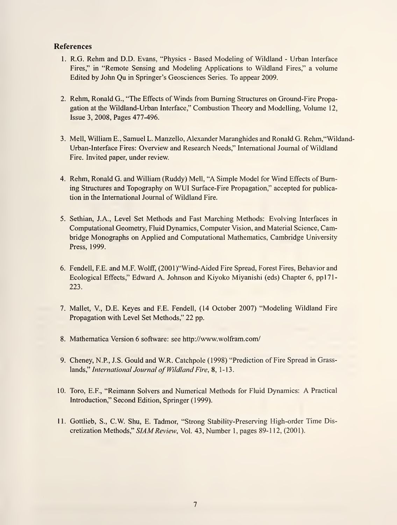#### References

- 1. R.G. Rehm and D.D. Evans, "Physics Based Modeling of Wildland Urban Interface Fires," in "Remote Sensing and Modeling Applications to Wildland Fires," a volume Edited by John Qu in Springer's Geosciences Series. To appear 2009.
- 2. Rehm, Ronald G., "The Effects of Winds from Burning Structures on Ground-Fire Propagation at the Wildland-Urban Interface," Combustion Theory and Modelling, Volume 12, Issue 3, 2008, Pages 477-496.
- 3. Mell, William E., Samuel L. Manzello, Alexander Maranghides and Ronald G. Rehm,"Wildand-Urban-Interface Fires: Overview and Research Needs," International Journal of Wildland Fire. Invited paper, under review.
- 4. Rehm, Ronald G. and William (Ruddy) Mell, "A Simple Model for Wind Effects of Burning Structures and Topography on WUI Surface-Fire Propagation," accepted for publication in the International Journal of Wildland Fire.
- 5. Sethian, J.A., Level Set Methods and Fast Marching Methods: Evolving Interfaces in Computational Geometry, Fluid Dynamics, Computer Vision, and Material Science, Cambridge Monographs on Applied and Computational Mathematics, Cambridge University Press, 1999.
- 6. Fendell, F.E. and M.F. Wolff, (200 l)"Wind-Aided Fire Spread, Forest Fires, Behavior and Ecological Effects," Edward A. Johnson and Kiyoko Miyanishi (eds) Chapter 6, pp171-223.
- 7. Mallet, V, D.E. Keyes and F.E. Fendell, (14 October 2007) "Modeling Wildland Fire Propagation with Level Set Methods," 22 pp.
- 8. Mathematica Version 6 software: see http://www.wolfram.com/
- 9. Cheney, N.P., J.S. Gould and W.R. Catchpole (1998) "Prediction of Fire Spread in Grasslands," International Journal of Wildland Fire, 8, 1-13.
- 10. Toro, E.F., "Reimann Solvers and Numerical Methods for Fluid Dynamics: A Practical Introduction," Second Edition, Springer (1999).
- 11. Gottlieb, S., C.W. Shu, E. Tadmor, "Strong Stability-Preserving High-order Time Discretization Methods," SIAM Review, Vol. 43, Number 1, pages 89-112, (2001).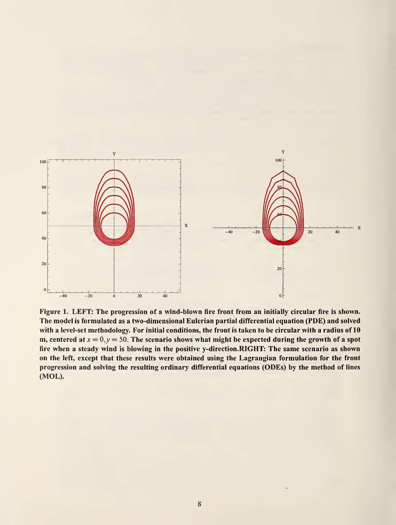

Figure 1. LEFT: The progression of a wind-blown fire front from an initially circular fire is shown. The model is formulated as a two-dimensional Eulerian partial differential equation (PDE) and solved with a level-set methodology. For initial conditions, the front is taken to be circular with a radius of 10 m, centered at  $x = 0, y = 50$ . The scenario shows what might be expected during the growth of a spot fire when a steady wind is blowing in the positive y-direction.RIGHT: The same scenario as shown on the left, except that these results were obtained using the Lagrangian formulation for the front progression and solving the resulting ordinary differential equations (ODEs) by the method of lines (MOL).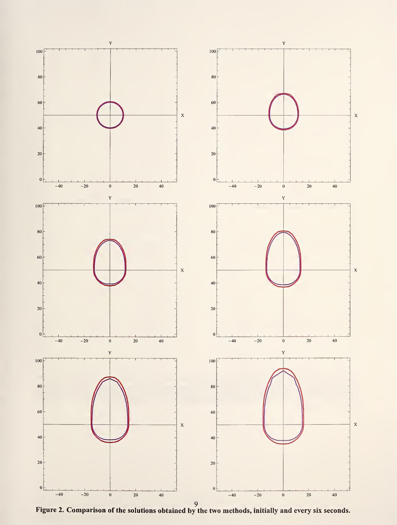

Figure 2. Comparison of the solutions obtained by the two methods, initially and every six seconds.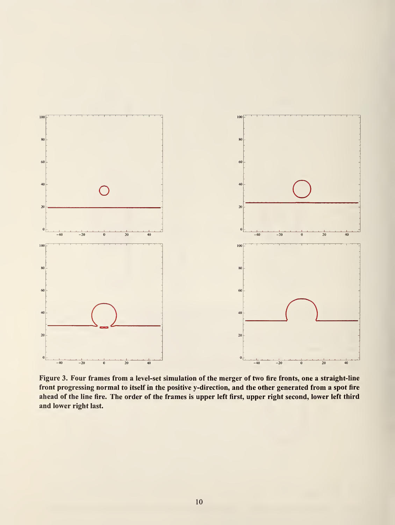

Figure 3. Four frames from a level-set simulation of the merger of two fire fronts, one a straight-line front progressing normal to itself in the positive y-direction, and the other generated from a spot fire ahead of the line fire. The order of the frames is upper left first, upper right second, lower left third and lower right last.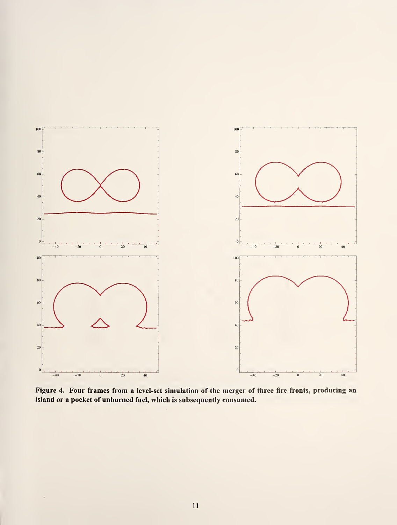

Figure 4. Four frames from a level-set simulation of the merger of three fire fronts, producing an island or a pocket of unburned fuel, which is subsequently consumed.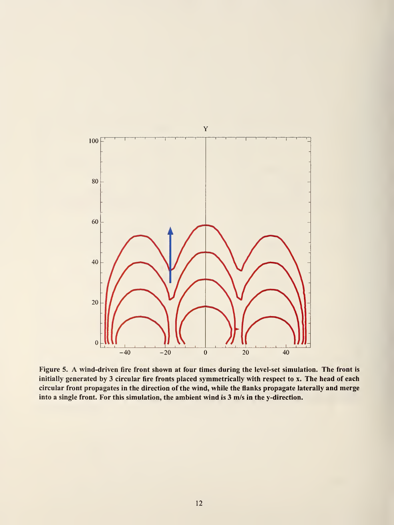

Figure 5. A wind-driven fire front shown at four times during the level-set simulation. The front is initially generated by 3 circular fire fronts placed symmetrically with respect to x. The head of each circular front propagates in the direction of the wind, while the flanks propagate laterally and merge into a single front. For this simulation, the ambient wind is 3 m/s in the y-direction.